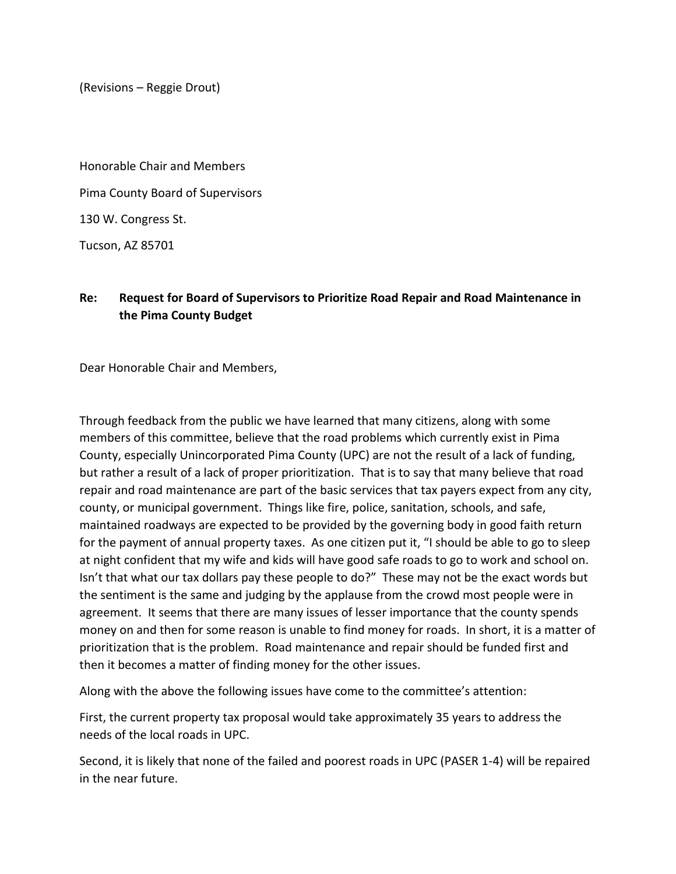(Revisions – Reggie Drout)

Honorable Chair and Members Pima County Board of Supervisors 130 W. Congress St.

Tucson, AZ 85701

## **Re: Request for Board of Supervisors to Prioritize Road Repair and Road Maintenance in the Pima County Budget**

Dear Honorable Chair and Members,

Through feedback from the public we have learned that many citizens, along with some members of this committee, believe that the road problems which currently exist in Pima County, especially Unincorporated Pima County (UPC) are not the result of a lack of funding, but rather a result of a lack of proper prioritization. That is to say that many believe that road repair and road maintenance are part of the basic services that tax payers expect from any city, county, or municipal government. Things like fire, police, sanitation, schools, and safe, maintained roadways are expected to be provided by the governing body in good faith return for the payment of annual property taxes. As one citizen put it, "I should be able to go to sleep at night confident that my wife and kids will have good safe roads to go to work and school on. Isn't that what our tax dollars pay these people to do?" These may not be the exact words but the sentiment is the same and judging by the applause from the crowd most people were in agreement. It seems that there are many issues of lesser importance that the county spends money on and then for some reason is unable to find money for roads. In short, it is a matter of prioritization that is the problem. Road maintenance and repair should be funded first and then it becomes a matter of finding money for the other issues.

Along with the above the following issues have come to the committee's attention:

First, the current property tax proposal would take approximately 35 years to address the needs of the local roads in UPC.

Second, it is likely that none of the failed and poorest roads in UPC (PASER 1-4) will be repaired in the near future.